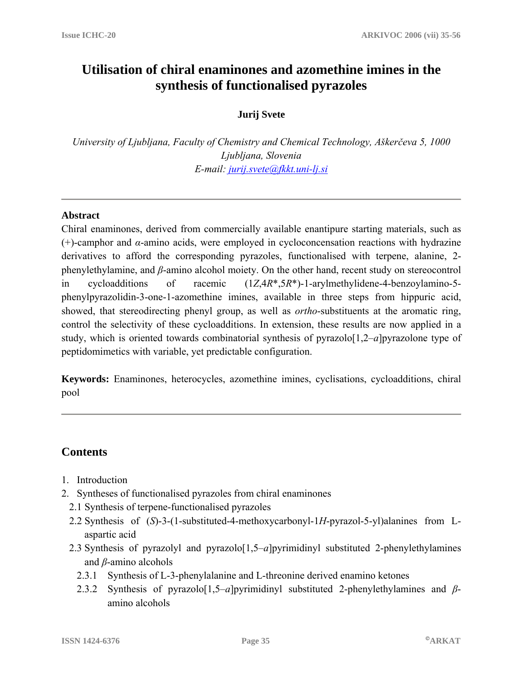# **Utilisation of chiral enaminones and azomethine imines in the synthesis of functionalised pyrazoles**

# **Jurij Svete**

*University of Ljubljana, Faculty of Chemistry and Chemical Technology, Aškerčeva 5, 1000 Ljubljana, Slovenia E-mail: [jurij.svete@fkkt.uni-lj.si](mailto:jurij.svete@fkkt.uni-lj.si)*

#### **Abstract**

Chiral enaminones, derived from commercially available enantipure starting materials, such as (+)-camphor and *α*-amino acids, were employed in cycloconcensation reactions with hydrazine derivatives to afford the corresponding pyrazoles, functionalised with terpene, alanine, 2 phenylethylamine, and *β*-amino alcohol moiety. On the other hand, recent study on stereocontrol in cycloadditions of racemic (1*Z*,4*R*\*,5*R*\*)-1-arylmethylidene-4-benzoylamino-5 phenylpyrazolidin-3-one-1-azomethine imines, available in three steps from hippuric acid, showed, that stereodirecting phenyl group, as well as *ortho*-substituents at the aromatic ring, control the selectivity of these cycloadditions. In extension, these results are now applied in a study, which is oriented towards combinatorial synthesis of pyrazolo<sup>[1,2–a]pyrazolone type of</sup> peptidomimetics with variable, yet predictable configuration.

**Keywords:** Enaminones, heterocycles, azomethine imines, cyclisations, cycloadditions, chiral pool

# **Contents**

- 1. Introduction
- 2. Syntheses of functionalised pyrazoles from chiral enaminones
	- 2.1 Synthesis of terpene-functionalised pyrazoles
	- 2.2 Synthesis of (*S*)-3-(1-substituted-4-methoxycarbonyl-1*H*-pyrazol-5-yl)alanines from Laspartic acid
	- 2.3 Synthesis of pyrazolyl and pyrazolo[1,5–*a*]pyrimidinyl substituted 2-phenylethylamines and *β*-amino alcohols
		- 2.3.1 Synthesis of L-3-phenylalanine and L-threonine derived enamino ketones
		- 2.3.2 Synthesis of pyrazolo[1,5–*a*]pyrimidinyl substituted 2-phenylethylamines and *β*amino alcohols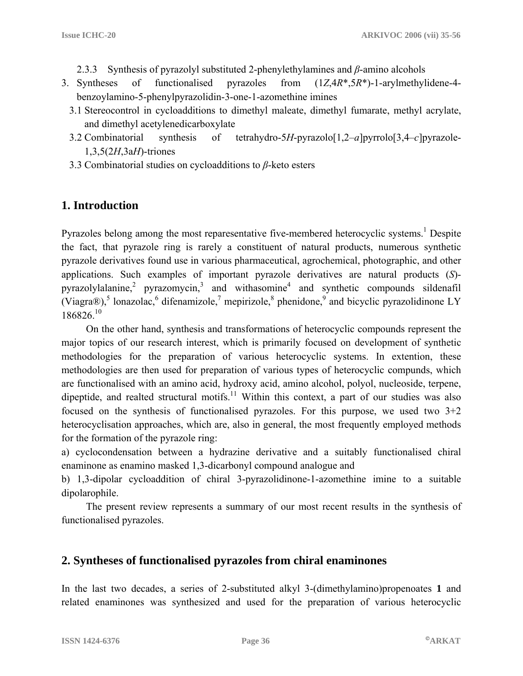- 2.3.3 Synthesis of pyrazolyl substituted 2-phenylethylamines and *β*-amino alcohols
- 3. Syntheses of functionalised pyrazoles from (1*Z*,4*R*\*,5*R*\*)-1-arylmethylidene-4 benzoylamino-5-phenylpyrazolidin-3-one-1-azomethine imines
	- 3.1 Stereocontrol in cycloadditions to dimethyl maleate, dimethyl fumarate, methyl acrylate, and dimethyl acetylenedicarboxylate
	- 3.2 Combinatorial synthesis of tetrahydro-5*H*-pyrazolo[1,2–*a*]pyrrolo[3,4–*c*]pyrazole-1,3,5(2*H*,3a*H*)-triones
	- 3.3 Combinatorial studies on cycloadditions to *β*-keto esters

# **1. Introduction**

Pyrazoles belong among the most reparesentative five-membered heterocyclic systems.<sup>1</sup> Despite the fact, that pyrazole ring is rarely a constituent of natural products, numerous synthetic pyrazole derivatives found use in various pharmaceutical, agrochemical, photographic, and other applications. Such examples of important pyrazole derivatives are natural products (*S*) pyrazolylalanine,<sup>2</sup> pyrazomycin,<sup>3</sup> and withasomine<sup>4</sup> and synthetic compounds sildenafil (Viagra®),<sup>5</sup> lonazolac,<sup>6</sup> difenamizole,<sup>7</sup> mepirizole,<sup>8</sup> phenidone,<sup>9</sup> and bicyclic pyrazolidinone LY  $186826^{10}$ 

 On the other hand, synthesis and transformations of heterocyclic compounds represent the major topics of our research interest, which is primarily focused on development of synthetic methodologies for the preparation of various heterocyclic systems. In extention, these methodologies are then used for preparation of various types of heterocyclic compunds, which are functionalised with an amino acid, hydroxy acid, amino alcohol, polyol, nucleoside, terpene, dipeptide, and realted structural motifs.<sup>11</sup> Within this context, a part of our studies was also focused on the synthesis of functionalised pyrazoles. For this purpose, we used two  $3+2$ heterocyclisation approaches, which are, also in general, the most frequently employed methods for the formation of the pyrazole ring:

a) cyclocondensation between a hydrazine derivative and a suitably functionalised chiral enaminone as enamino masked 1,3-dicarbonyl compound analogue and

b) 1,3-dipolar cycloaddition of chiral 3-pyrazolidinone-1-azomethine imine to a suitable dipolarophile.

 The present review represents a summary of our most recent results in the synthesis of functionalised pyrazoles.

# **2. Syntheses of functionalised pyrazoles from chiral enaminones**

In the last two decades, a series of 2-substituted alkyl 3-(dimethylamino)propenoates **1** and related enaminones was synthesized and used for the preparation of various heterocyclic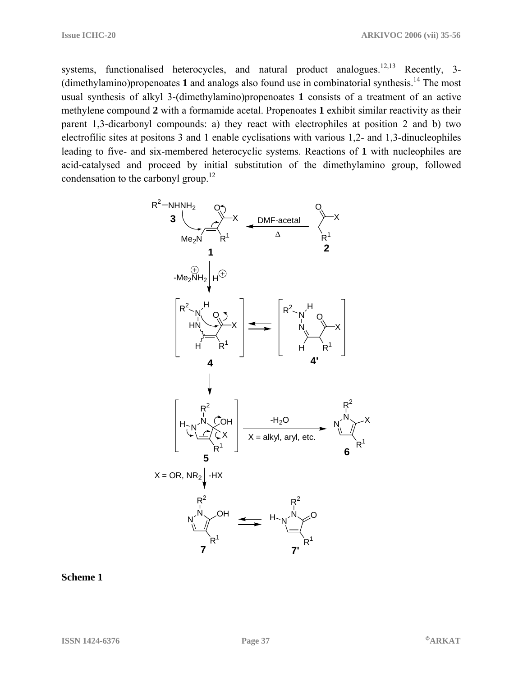systems, functionalised heterocycles, and natural product analogues.<sup>12,13</sup> Recently, 3-(dimethylamino)propenoates **1** and analogs also found use in combinatorial synthesis.14 The most usual synthesis of alkyl 3-(dimethylamino)propenoates **1** consists of a treatment of an active methylene compound **2** with a formamide acetal. Propenoates **1** exhibit similar reactivity as their parent 1,3-dicarbonyl compounds: a) they react with electrophiles at position 2 and b) two electrofilic sites at positons 3 and 1 enable cyclisations with various 1,2- and 1,3-dinucleophiles leading to five- and six-membered heterocyclic systems. Reactions of **1** with nucleophiles are acid-catalysed and proceed by initial substitution of the dimethylamino group, followed condensation to the carbonyl group.<sup>12</sup>



**Scheme 1**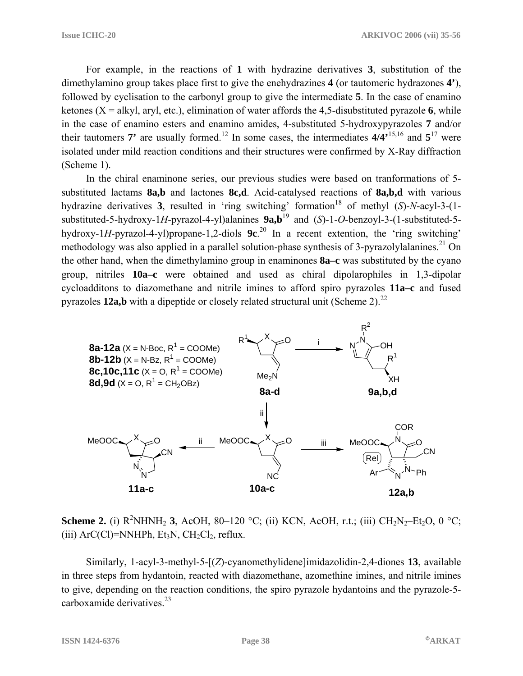For example, in the reactions of **1** with hydrazine derivatives **3**, substitution of the dimethylamino group takes place first to give the enehydrazines **4** (or tautomeric hydrazones **4'**), followed by cyclisation to the carbonyl group to give the intermediate **5**. In the case of enamino ketones  $(X = \text{alkyl}, \text{aryl}, \text{etc.})$ , elimination of water affords the 4,5-disubstituted pyrazole 6, while in the case of enamino esters and enamino amides, 4-substituted 5-hydroxypyrazoles **7** and/or their tautomers **7'** are usually formed.<sup>12</sup> In some cases, the intermediates  $4/4$ <sup>,15,16</sup> and  $5^{17}$  were isolated under mild reaction conditions and their structures were confirmed by X-Ray diffraction (Scheme 1).

 In the chiral enaminone series, our previous studies were based on tranformations of 5 substituted lactams **8a,b** and lactones **8c,d**. Acid-catalysed reactions of **8a,b,d** with various hydrazine derivatives 3, resulted in 'ring switching' formation<sup>18</sup> of methyl  $(S)$ -*N*-acyl-3- $(1$ substituted-5-hydroxy-1*H*-pyrazol-4-yl)alanines  $9a,b^{19}$  and (*S*)-1-*O*-benzoyl-3-(1-substituted-5hydroxy-1*H*-pyrazol-4-yl)propane-1,2-diols **9c**. 20 In a recent extention, the 'ring switching' methodology was also applied in a parallel solution-phase synthesis of 3-pyrazolylalanines.<sup>21</sup> On the other hand, when the dimethylamino group in enaminones **8a–c** was substituted by the cyano group, nitriles **10a–c** were obtained and used as chiral dipolarophiles in 1,3-dipolar cycloadditons to diazomethane and nitrile imines to afford spiro pyrazoles **11a–c** and fused pyrazoles **12a,b** with a dipeptide or closely related structural unit (Scheme 2).<sup>22</sup>



**Scheme 2.** (i)  $R^2NHNH_2$  **3**, AcOH, 80–120 °C; (ii) KCN, AcOH, r.t.; (iii)  $CH_2N_2-Et_2O$ , 0 °C; (iii)  $ArC(CI) = NNHPh$ ,  $Et<sub>3</sub>N$ ,  $CH<sub>2</sub>Cl<sub>2</sub>$ , reflux.

 Similarly, 1-acyl-3-methyl-5-[(*Z*)-cyanomethylidene]imidazolidin-2,4-diones **13**, available in three steps from hydantoin, reacted with diazomethane, azomethine imines, and nitrile imines to give, depending on the reaction conditions, the spiro pyrazole hydantoins and the pyrazole-5 carboxamide derivatives. $23$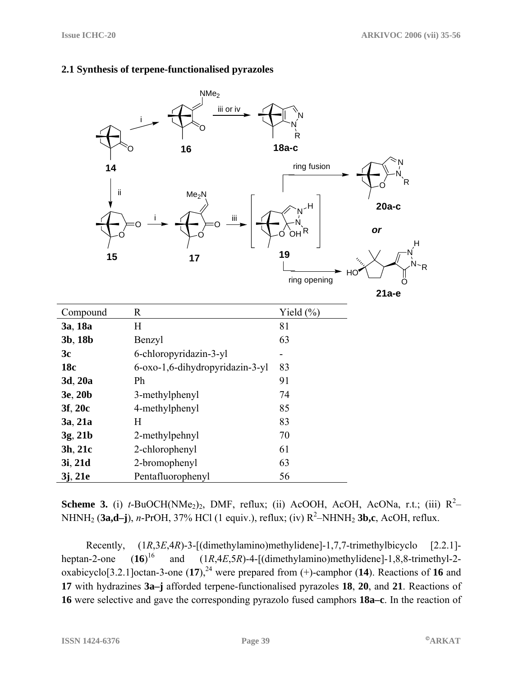|                | NMe <sub>2</sub>                |                                                                |                                          |
|----------------|---------------------------------|----------------------------------------------------------------|------------------------------------------|
|                | iii or iv<br>16                 | R<br>$18a-c$                                                   |                                          |
| 14<br>ij<br>15 | Me <sub>2</sub> N<br>Ϊij<br>17  | ring fusion<br>ᆊ<br>N<br>OH <sup>R</sup><br>19<br>ring opening | $20a-c$<br>or<br>н<br>HO<br>റ<br>$21a-e$ |
| Compound       | $\mathbf R$                     | Yield (%)                                                      |                                          |
| 3a, 18a        | H                               | 81                                                             |                                          |
| 3b, 18b        | Benzyl                          | 63                                                             |                                          |
| 3c             | 6-chloropyridazin-3-yl          |                                                                |                                          |
| 18c            | 6-oxo-1,6-dihydropyridazin-3-yl | 83                                                             |                                          |
| 3d, 20a        | Ph                              | 91                                                             |                                          |
| 3e, 20b        | 3-methylphenyl                  | 74                                                             |                                          |
| 3f, 20c        | 4-methylphenyl                  | 85                                                             |                                          |
| 3a, 21a        | H                               | 83                                                             |                                          |
| 3g, 21b        | 2-methylpehnyl                  | 70                                                             |                                          |
| 3h, 21c        | 2-chlorophenyl                  | 61                                                             |                                          |
| 3i, 21d        | 2-bromophenyl                   | 63                                                             |                                          |
| 3j, 21e        | Pentafluorophenyl               | 56                                                             |                                          |

#### **2.1 Synthesis of terpene-functionalised pyrazoles**

**Scheme 3.** (i)  $t$ -BuOCH(NMe<sub>2</sub>)<sub>2</sub>, DMF, reflux; (ii) AcOOH, AcOH, AcONa, r.t.; (iii)  $R^2$ -NHNH<sub>2</sub> (3a,d-j), *n*-PrOH, 37% HCl (1 equiv.), reflux; (iv) R<sup>2</sup>-NHNH<sub>2</sub> 3b,c, AcOH, reflux.

 Recently, (1*R*,3*E*,4*R*)-3-[(dimethylamino)methylidene]-1,7,7-trimethylbicyclo [2.2.1] heptan-2-one  $(16)^{16}$ and  $(1R,4E,5R)$ -4-[(dimethylamino)methylidene]-1,8,8-trimethyl-2oxabicyclo<sup>[3.2.1]</sup>octan-3-one  $(17)$ ,<sup>24</sup> were prepared from  $(+)$ -camphor  $(14)$ . Reactions of 16 and **17** with hydrazines **3a–j** afforded terpene-functionalised pyrazoles **18**, **20**, and **21**. Reactions of **16** were selective and gave the corresponding pyrazolo fused camphors **18a–c**. In the reaction of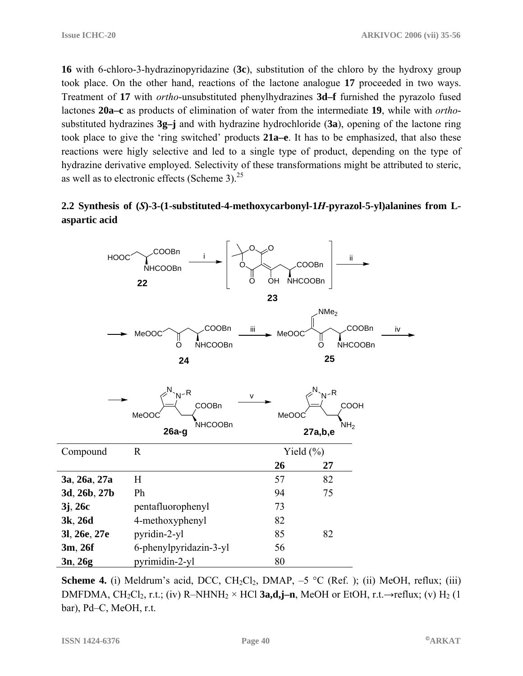**16** with 6-chloro-3-hydrazinopyridazine (**3c**), substitution of the chloro by the hydroxy group took place. On the other hand, reactions of the lactone analogue **17** proceeded in two ways. Treatment of **17** with *ortho*-unsubstituted phenylhydrazines **3d–f** furnished the pyrazolo fused lactones **20a–c** as products of elimination of water from the intermediate **19**, while with *ortho*substituted hydrazines **3g–j** and with hydrazine hydrochloride (**3a**), opening of the lactone ring took place to give the 'ring switched' products **21a–e**. It has to be emphasized, that also these reactions were higly selective and led to a single type of product, depending on the type of hydrazine derivative employed. Selectivity of these transformations might be attributed to steric, as well as to electronic effects (Scheme 3). $^{25}$ 

### **2.2 Synthesis of (***S***)-3-(1-substituted-4-methoxycarbonyl-1***H***-pyrazol-5-yl)alanines from Laspartic acid**

| <b>HOOC</b>  | COOBn<br><b>NHCOOBn</b><br>22                        | O<br>۰O<br>COOBn<br><b>NHCOOBn</b><br>OH<br>O | ii.                                                          |
|--------------|------------------------------------------------------|-----------------------------------------------|--------------------------------------------------------------|
|              |                                                      | 23                                            |                                                              |
|              | COOBn<br>MeOOC<br><b>NHCOOBn</b><br>O<br>24          | iii<br>MeOOC                                  | NMe <sub>2</sub><br>COOBn<br>iv<br><b>NHCOOBn</b><br>O<br>25 |
|              | $V-R$<br>COOBn<br>MeOOC<br><b>NHCOOBn</b><br>$26a-g$ | v<br>MeOOC<br>27a,b,e                         | $N - R$<br>COOH<br>NH <sub>2</sub>                           |
| Compound     | $\mathbf R$                                          | Yield $(\%)$                                  |                                                              |
|              |                                                      | 26                                            | 27                                                           |
| 3a, 26a, 27a | H                                                    | 57                                            | 82                                                           |
| 3d, 26b, 27b | Ph                                                   | 94                                            | 75                                                           |
| 3j, 26c      | pentafluorophenyl                                    | 73                                            |                                                              |
| 3k, 26d      | 4-methoxyphenyl                                      | 82                                            |                                                              |
| 31, 26e, 27e | pyridin-2-yl                                         | 85                                            | 82                                                           |
| 3m, 26f      | 6-phenylpyridazin-3-yl                               | 56                                            |                                                              |
| 3n, 26g      | pyrimidin-2-yl                                       | 80                                            |                                                              |

**Scheme 4.** (i) Meldrum's acid, DCC, CH<sub>2</sub>Cl<sub>2</sub>, DMAP,  $-5$  °C (Ref. ); (ii) MeOH, reflux; (iii) DMFDMA, CH<sub>2</sub>Cl<sub>2</sub>, r.t.; (iv) R–NHNH<sub>2</sub> × HCl **3a,d,j–n**, MeOH or EtOH, r.t. $\rightarrow$ reflux; (v) H<sub>2</sub> (1 bar), Pd–C, MeOH, r.t.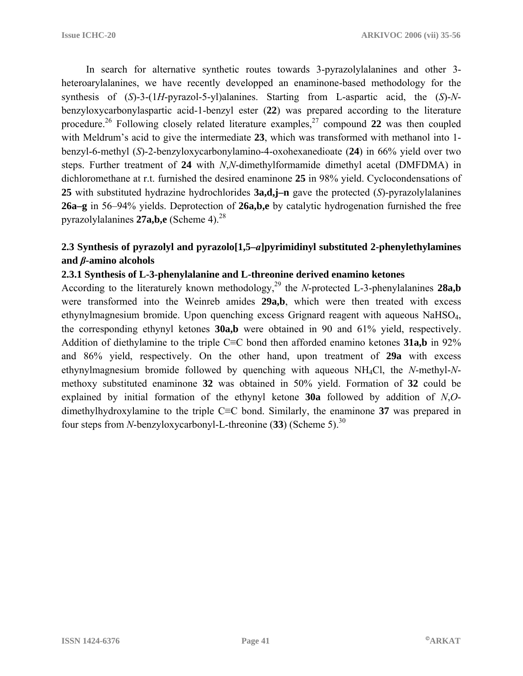In search for alternative synthetic routes towards 3-pyrazolylalanines and other 3 heteroarylalanines, we have recently developped an enaminone-based methodology for the synthesis of (*S*)-3-(1*H*-pyrazol-5-yl)alanines. Starting from L-aspartic acid, the (*S*)-*N*benzyloxycarbonylaspartic acid-1-benzyl ester (**22**) was prepared according to the literature procedure.<sup>26</sup> Following closely related literature examples.<sup>27</sup> compound 22 was then coupled with Meldrum's acid to give the intermediate **23**, which was transformed with methanol into 1 benzyl-6-methyl (*S*)-2-benzyloxycarbonylamino-4-oxohexanedioate (**24**) in 66% yield over two steps. Further treatment of **24** with *N*,*N*-dimethylformamide dimethyl acetal (DMFDMA) in dichloromethane at r.t. furnished the desired enaminone **25** in 98% yield. Cyclocondensations of **25** with substituted hydrazine hydrochlorides **3a,d,j–n** gave the protected (*S*)-pyrazolylalanines **26a–g** in 56–94% yields. Deprotection of **26a,b,e** by catalytic hydrogenation furnished the free pyrazolylalanines 27a,b,e (Scheme 4).<sup>28</sup>

# **2.3 Synthesis of pyrazolyl and pyrazolo[1,5–***a***]pyrimidinyl substituted 2-phenylethylamines and** *β***-amino alcohols**

### **2.3.1 Synthesis of L-3-phenylalanine and L-threonine derived enamino ketones**

According to the literaturely known methodology,<sup>29</sup> the *N*-protected L-3-phenylalanines 28a,b were transformed into the Weinreb amides **29a,b**, which were then treated with excess ethynylmagnesium bromide. Upon quenching excess Grignard reagent with aqueous NaHSO4, the corresponding ethynyl ketones **30a,b** were obtained in 90 and 61% yield, respectively. Addition of diethylamine to the triple C≡C bond then afforded enamino ketones **31a,b** in 92% and 86% yield, respectively. On the other hand, upon treatment of **29a** with excess ethynylmagnesium bromide followed by quenching with aqueous NH4Cl, the *N*-methyl-*N*methoxy substituted enaminone **32** was obtained in 50% yield. Formation of **32** could be explained by initial formation of the ethynyl ketone **30a** followed by addition of *N*,*O*dimethylhydroxylamine to the triple C≡C bond. Similarly, the enaminone **37** was prepared in four steps from *N*-benzyloxycarbonyl-L-threonine (**33**) (Scheme 5).30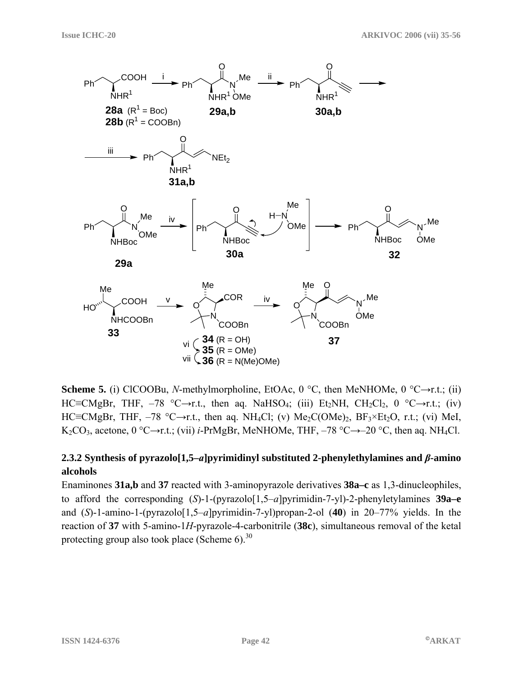

**Scheme 5.** (i) ClCOOBu, *N*-methylmorpholine, EtOAc, 0 °C, then MeNHOMe, 0 °C $\rightarrow$ r.t.; (ii) HC≡CMgBr, THF,  $-78$  °C→r.t., then aq. NaHSO<sub>4</sub>; (iii) Et<sub>2</sub>NH, CH<sub>2</sub>Cl<sub>2</sub>, 0 °C→r.t.; (iv) HC≡CMgBr, THF,  $-78$  °C→r.t., then aq. NH<sub>4</sub>Cl; (v) Me<sub>2</sub>C(OMe)<sub>2</sub>, BF<sub>3</sub>×Et<sub>2</sub>O, r.t.; (vi) MeI, K<sub>2</sub>CO<sub>3</sub>, acetone, 0 °C→r.t.; (vii) *i*-PrMgBr, MeNHOMe, THF, –78 °C→–20 °C, then aq. NH<sub>4</sub>Cl.

# **2.3.2 Synthesis of pyrazolo[1,5–***a***]pyrimidinyl substituted 2-phenylethylamines and** *β***-amino alcohols**

Enaminones **31a,b** and **37** reacted with 3-aminopyrazole derivatives **38a–c** as 1,3-dinucleophiles, to afford the corresponding (*S*)-1-(pyrazolo[1,5–*a*]pyrimidin-7-yl)-2-phenyletylamines **39a–e** and (*S*)-1-amino-1-(pyrazolo[1,5–*a*]pyrimidin-7-yl)propan-2-ol (**40**) in 20–77% yields. In the reaction of **37** with 5-amino-1*H*-pyrazole-4-carbonitrile (**38c**), simultaneous removal of the ketal protecting group also took place (Scheme  $6$ ).<sup>30</sup>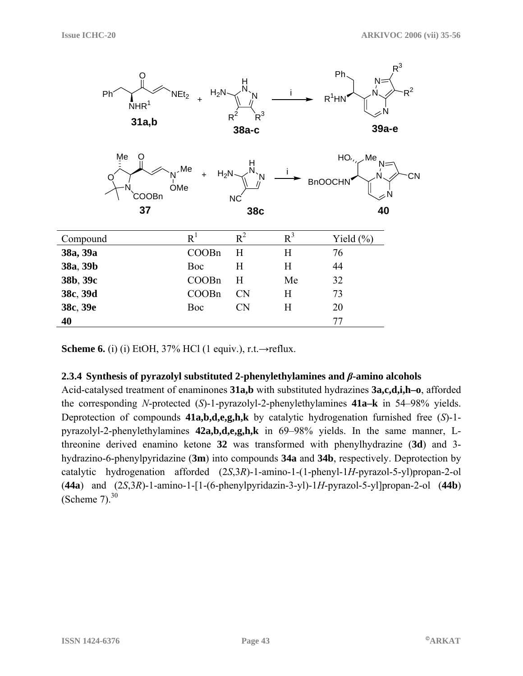

**Scheme 6.** (i) (i) EtOH,  $37\%$  HCl (1 equiv.), r.t. $\rightarrow$ reflux.

#### **2.3.4 Synthesis of pyrazolyl substituted 2-phenylethylamines and** *β***-amino alcohols**

Acid-catalysed treatment of enaminones **31a,b** with substituted hydrazines **3a,c,d,i,h–o**, afforded the corresponding *N*-protected (*S*)-1-pyrazolyl-2-phenylethylamines **41a–k** in 54–98% yields. Deprotection of compounds **41a,b,d,e,g,h,k** by catalytic hydrogenation furnished free (*S*)-1 pyrazolyl-2-phenylethylamines **42a,b,d,e,g,h,k** in 69–98% yields. In the same manner, Lthreonine derived enamino ketone **32** was transformed with phenylhydrazine (**3d**) and 3 hydrazino-6-phenylpyridazine (**3m**) into compounds **34a** and **34b**, respectively. Deprotection by catalytic hydrogenation afforded (2*S*,3*R*)-1-amino-1-(1-phenyl-1*H*-pyrazol-5-yl)propan-2-ol (**44a**) and (2*S*,3*R*)-1-amino-1-[1-(6-phenylpyridazin-3-yl)-1*H*-pyrazol-5-yl]propan-2-ol (**44b**) (Scheme  $7<sup>30</sup>$ )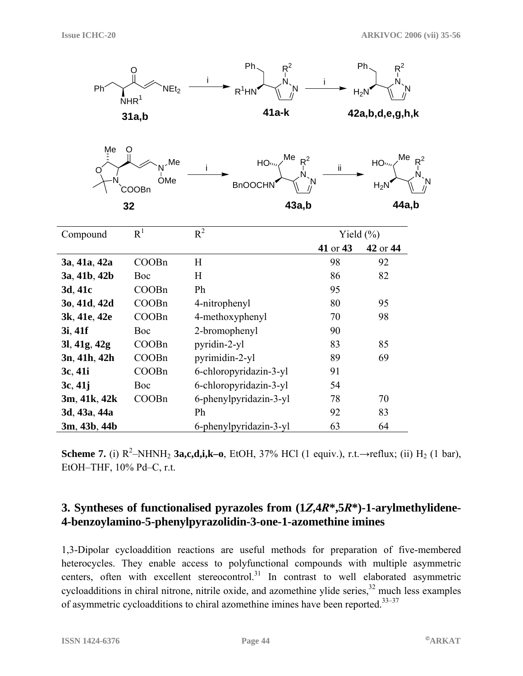

**Scheme 7.** (i)  $R^2$ -NHNH<sub>2</sub> **3a,c,d,i,k–o**, EtOH, 37% HCl (1 equiv.), r.t.→reflux; (ii) H<sub>2</sub> (1 bar), EtOH–THF, 10% Pd–C, r.t.

# **3. Syntheses of functionalised pyrazoles from (1***Z***,4***R***\*,5***R***\*)-1-arylmethylidene-4-benzoylamino-5-phenylpyrazolidin-3-one-1-azomethine imines**

1,3-Dipolar cycloaddition reactions are useful methods for preparation of five-membered heterocycles. They enable access to polyfunctional compounds with multiple asymmetric centers, often with excellent stereocontrol. $31$  In contrast to well elaborated asymmetric cycloadditions in chiral nitrone, nitrile oxide, and azomethine ylide series, $32$  much less examples of asymmetric cycloadditions to chiral azomethine imines have been reported.<sup>33–37</sup>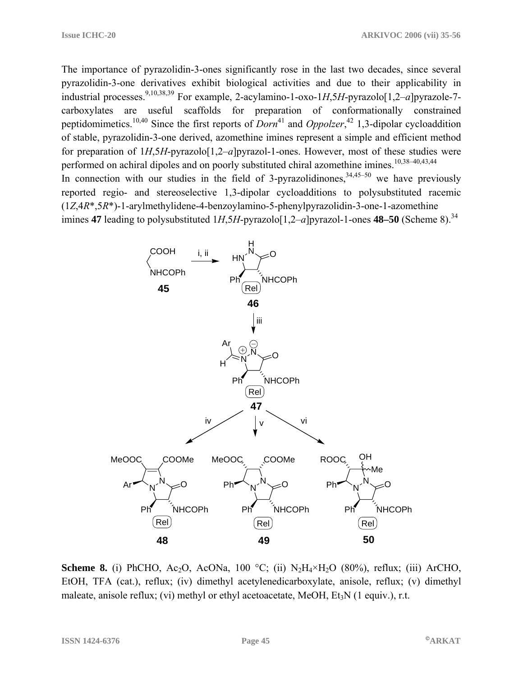The importance of pyrazolidin-3-ones significantly rose in the last two decades, since several pyrazolidin-3-one derivatives exhibit biological activities and due to their applicability in industrial processes.9,10,38,39 For example, 2-acylamino-1-oxo-1*H*,5*H*-pyrazolo[1,2–*a*]pyrazole-7 carboxylates are useful scaffolds for preparation of conformationally constrained peptidomimetics.<sup>10,40</sup> Since the first reports of *Dorn*<sup>41</sup> and *Oppolzer*,<sup>42</sup> 1,3-dipolar cycloaddition of stable, pyrazolidin-3-one derived, azomethine imines represent a simple and efficient method for preparation of 1*H*,5*H*-pyrazolo[1,2–*a*]pyrazol-1-ones. However, most of these studies were performed on achiral dipoles and on poorly substituted chiral azomethine imines.<sup>10,38-40,43,44</sup> In connection with our studies in the field of 3-pyrazolidinones,  $34,45-50$  we have previously reported regio- and stereoselective 1,3-dipolar cycloadditions to polysubstituted racemic (1*Z*,4*R*\*,5*R*\*)-1-arylmethylidene-4-benzoylamino-5-phenylpyrazolidin-3-one-1-azomethine imines **47** leading to polysubstituted  $1H,5H$ -pyrazolo $[1,2-a]$ pyrazol-1-ones **48–50** (Scheme 8).<sup>34</sup>



**Scheme 8.** (i) PhCHO, Ac<sub>2</sub>O, AcONa, 100 °C; (ii)  $N_2H_4 \times H_2O$  (80%), reflux; (iii) ArCHO, EtOH, TFA (cat.), reflux; (iv) dimethyl acetylenedicarboxylate, anisole, reflux; (v) dimethyl maleate, anisole reflux; (vi) methyl or ethyl acetoacetate, MeOH, Et<sub>3</sub>N (1 equiv.), r.t.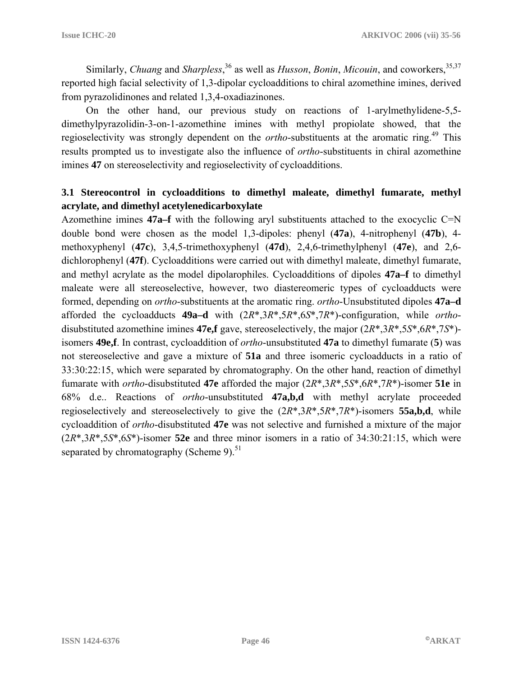Similarly, *Chuang* and *Sharpless*,<sup>36</sup> as well as *Husson*, *Bonin*, *Micouin*, and coworkers,<sup>35,37</sup> reported high facial selectivity of 1,3-dipolar cycloadditions to chiral azomethine imines, derived from pyrazolidinones and related 1,3,4-oxadiazinones.

 On the other hand, our previous study on reactions of 1-arylmethylidene-5,5 dimethylpyrazolidin-3-on-1-azomethine imines with methyl propiolate showed, that the regioselectivity was strongly dependent on the *ortho*-substituents at the aromatic ring.49 This results prompted us to investigate also the influence of *ortho*-substituents in chiral azomethine imines **47** on stereoselectivity and regioselectivity of cycloadditions.

# **3.1 Stereocontrol in cycloadditions to dimethyl maleate, dimethyl fumarate, methyl acrylate, and dimethyl acetylenedicarboxylate**

Azomethine imines **47a–f** with the following aryl substituents attached to the exocyclic C=N double bond were chosen as the model 1,3-dipoles: phenyl (**47a**), 4-nitrophenyl (**47b**), 4 methoxyphenyl (**47c**), 3,4,5-trimethoxyphenyl (**47d**), 2,4,6-trimethylphenyl (**47e**), and 2,6 dichlorophenyl (**47f**). Cycloadditions were carried out with dimethyl maleate, dimethyl fumarate, and methyl acrylate as the model dipolarophiles. Cycloadditions of dipoles **47a–f** to dimethyl maleate were all stereoselective, however, two diastereomeric types of cycloadducts were formed, depending on *ortho*-substituents at the aromatic ring. *ortho*-Unsubstituted dipoles **47a–d** afforded the cycloadducts **49a–d** with (2*R*\*,3*R*\*,5*R*\*,6*S*\*,7*R*\*)-configuration, while *ortho*disubstituted azomethine imines **47e,f** gave, stereoselectively, the major (2*R*\*,3*R*\*,5*S*\*,6*R*\*,7*S*\*) isomers **49e,f**. In contrast, cycloaddition of *ortho*-unsubstituted **47a** to dimethyl fumarate (**5**) was not stereoselective and gave a mixture of **51a** and three isomeric cycloadducts in a ratio of 33:30:22:15, which were separated by chromatography. On the other hand, reaction of dimethyl fumarate with *ortho*-disubstituted **47e** afforded the major (2*R*\*,3*R*\*,5*S*\*,6*R*\*,7*R*\*)-isomer **51e** in 68% d.e.. Reactions of *ortho*-unsubstituted **47a,b,d** with methyl acrylate proceeded regioselectively and stereoselectively to give the (2*R*\*,3*R*\*,5*R*\*,7*R*\*)-isomers **55a,b,d**, while cycloaddition of *ortho*-disubstituted **47e** was not selective and furnished a mixture of the major (2*R*\*,3*R*\*,5*S*\*,6*S*\*)-isomer **52e** and three minor isomers in a ratio of 34:30:21:15, which were separated by chromatography (Scheme 9). $51$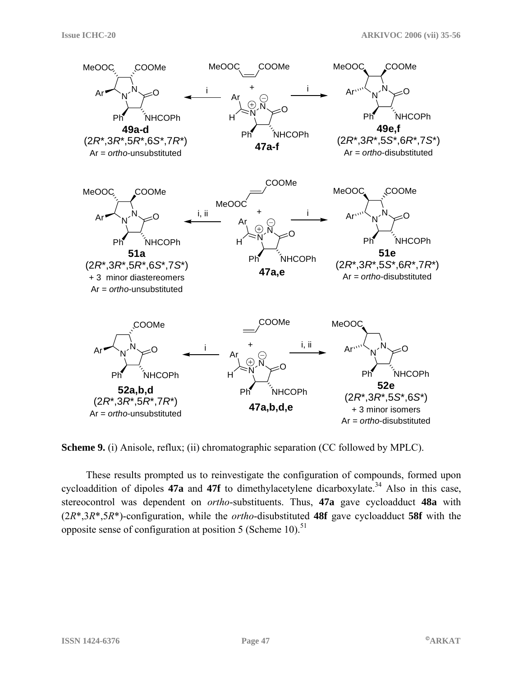

**Scheme 9.** (i) Anisole, reflux; (ii) chromatographic separation (CC followed by MPLC).

 These results prompted us to reinvestigate the configuration of compounds, formed upon cycloaddition of dipoles  $47a$  and  $47f$  to dimethylacetylene dicarboxylate.<sup>34</sup> Also in this case, stereocontrol was dependent on *ortho*-substituents. Thus, **47a** gave cycloadduct **48a** with (2*R*\*,3*R*\*,5*R*\*)-configuration, while the *ortho*-disubstituted **48f** gave cycloadduct **58f** with the opposite sense of configuration at position 5 (Scheme 10).<sup>51</sup>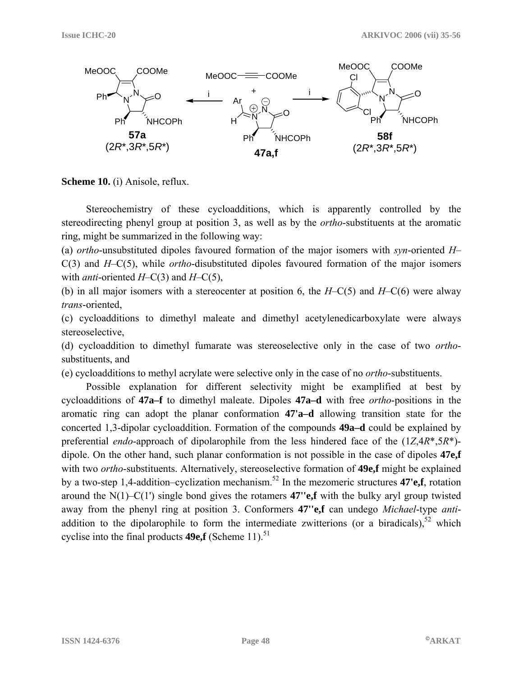

**Scheme 10.** (i) Anisole, reflux.

 Stereochemistry of these cycloadditions, which is apparently controlled by the stereodirecting phenyl group at position 3, as well as by the *ortho*-substituents at the aromatic ring, might be summarized in the following way:

(a) *ortho*-unsubstituted dipoles favoured formation of the major isomers with *syn*-oriented *H*– C(3) and *H*–C(5), while *ortho*-disubstituted dipoles favoured formation of the major isomers with *anti*-oriented *H*–C(3) and *H*–C(5),

(b) in all major isomers with a stereocenter at position 6, the *H*–C(5) and *H*–C(6) were alway *trans*-oriented,

(c) cycloadditions to dimethyl maleate and dimethyl acetylenedicarboxylate were always stereoselective,

(d) cycloaddition to dimethyl fumarate was stereoselective only in the case of two *ortho*substituents, and

(e) cycloadditions to methyl acrylate were selective only in the case of no *ortho*-substituents.

 Possible explanation for different selectivity might be examplified at best by cycloadditions of **47a–f** to dimethyl maleate. Dipoles **47a–d** with free *ortho*-positions in the aromatic ring can adopt the planar conformation **47'a–d** allowing transition state for the concerted 1,3-dipolar cycloaddition. Formation of the compounds **49a–d** could be explained by preferential *endo*-approach of dipolarophile from the less hindered face of the (1*Z*,4*R*\*,5*R*\*) dipole. On the other hand, such planar conformation is not possible in the case of dipoles **47e,f** with two *ortho*-substituents. Alternatively, stereoselective formation of **49e,f** might be explained by a two-step 1,4-addition–cyclization mechanism.52 In the mezomeric structures **47'e,f**, rotation around the N(1)–C(1') single bond gives the rotamers **47''e,f** with the bulky aryl group twisted away from the phenyl ring at position 3. Conformers **47''e,f** can undego *Michael*-type *anti*addition to the dipolarophile to form the intermediate zwitterions (or a biradicals), $52$  which cyclise into the final products  $49e.f$  (Scheme 11).<sup>51</sup>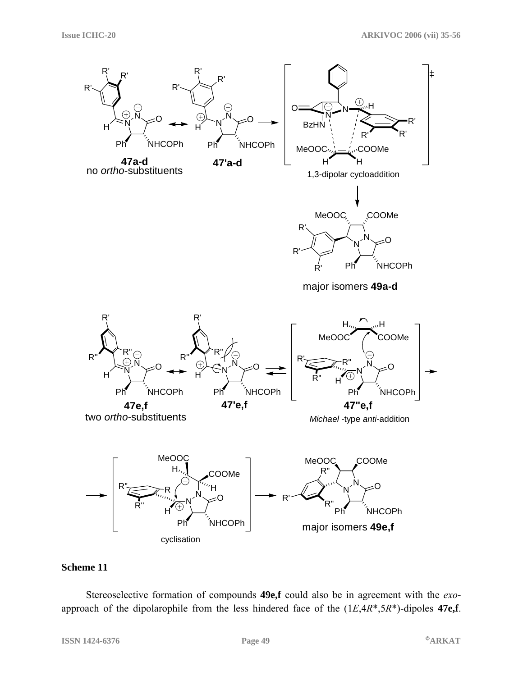

#### **Scheme 11**

 Stereoselective formation of compounds **49e,f** could also be in agreement with the *exo*approach of the dipolarophile from the less hindered face of the (1*E*,4*R*\*,5*R*\*)-dipoles **47e,f**.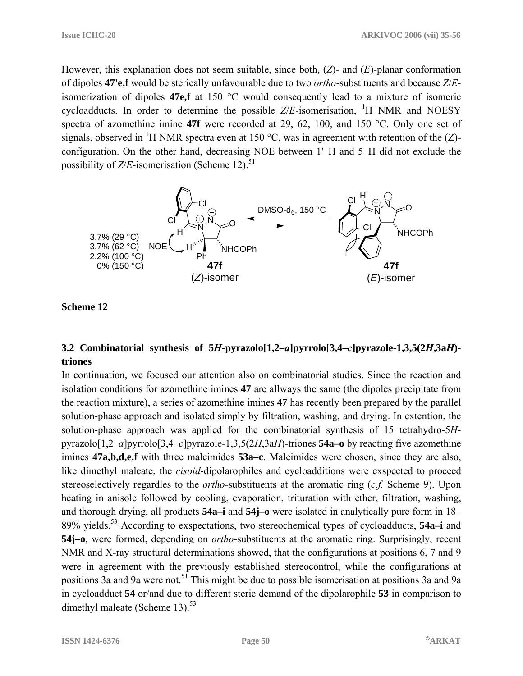However, this explanation does not seem suitable, since both, (*Z*)- and (*E*)-planar conformation of dipoles **47'e,f** would be sterically unfavourable due to two *ortho*-substituents and because *Z*/*E*isomerization of dipoles **47e,f** at 150 °C would consequently lead to a mixture of isomeric cycloadducts. In order to determine the possible  $Z/E$ -isomerisation, <sup>1</sup>H NMR and NOESY spectra of azomethine imine **47f** were recorded at 29, 62, 100, and 150 °C. Only one set of signals, observed in <sup>1</sup>H NMR spectra even at 150 °C, was in agreement with retention of the (Z)configuration. On the other hand, decreasing NOE between 1'–H and 5–H did not exclude the possibility of  $Z/E$ -isomerisation (Scheme 12).<sup>51</sup>



**Scheme 12** 

# **3.2 Combinatorial synthesis of 5***H***-pyrazolo[1,2–***a***]pyrrolo[3,4–***c***]pyrazole-1,3,5(2***H***,3a***H***) triones**

In continuation, we focused our attention also on combinatorial studies. Since the reaction and isolation conditions for azomethine imines **47** are allways the same (the dipoles precipitate from the reaction mixture), a series of azomethine imines **47** has recently been prepared by the parallel solution-phase approach and isolated simply by filtration, washing, and drying. In extention, the solution-phase approach was applied for the combinatorial synthesis of 15 tetrahydro-5*H*pyrazolo[1,2–*a*]pyrrolo[3,4–*c*]pyrazole-1,3,5(2*H*,3a*H*)-triones **54a–o** by reacting five azomethine imines **47a,b,d,e,f** with three maleimides **53a–c**. Maleimides were chosen, since they are also, like dimethyl maleate, the *cisoid*-dipolarophiles and cycloadditions were exspected to proceed stereoselectively regardles to the *ortho*-substituents at the aromatic ring (*c.f.* Scheme 9). Upon heating in anisole followed by cooling, evaporation, trituration with ether, filtration, washing, and thorough drying, all products **54a–i** and **54j–o** were isolated in analytically pure form in 18– 89% yields.53 According to exspectations, two stereochemical types of cycloadducts, **54a–i** and **54j–o**, were formed, depending on *ortho*-substituents at the aromatic ring. Surprisingly, recent NMR and X-ray structural determinations showed, that the configurations at positions 6, 7 and 9 were in agreement with the previously established stereocontrol, while the configurations at positions 3a and 9a were not.<sup>51</sup> This might be due to possible isomerisation at positions 3a and 9a in cycloadduct **54** or/and due to different steric demand of the dipolarophile **53** in comparison to dimethyl maleate (Scheme 13). $53$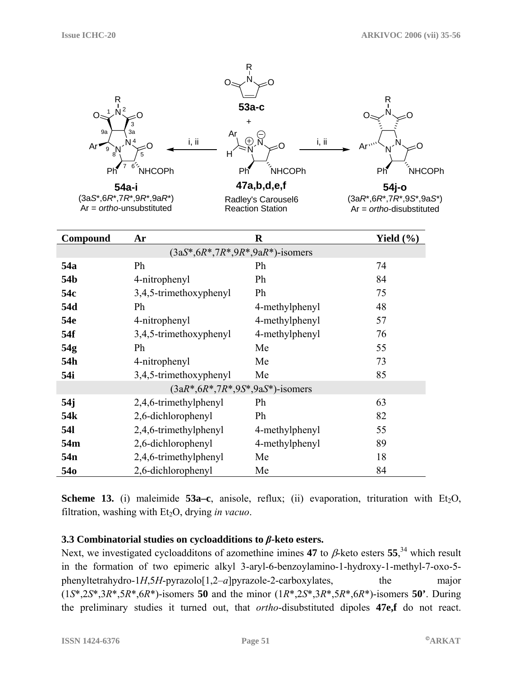

|  |                                                             |  |  | <b>Scheme 13.</b> (i) maleimide $53a-c$ , anisole, reflux; (ii) evaporation, trituration with $Et_2O$ , |  |  |
|--|-------------------------------------------------------------|--|--|---------------------------------------------------------------------------------------------------------|--|--|
|  | filtration, washing with $Et_2O$ , drying <i>in vacuo</i> . |  |  |                                                                                                         |  |  |

# **3.3 Combinatorial studies on cycloadditions to** *β***-keto esters.**

**54k** 2,6-dichlorophenyl Ph 82 **54l** 2,4,6-trimethylphenyl 4-methylphenyl 55 **54m** 2,6-dichlorophenyl 4-methylphenyl 89 **54n** 2,4,6-trimethylphenyl Me 18 54o 2,6-dichlorophenyl Me 84

Next, we investigated cycloadditons of azomethine imines **47** to β-keto esters **55**, 34 which result in the formation of two epimeric alkyl 3-aryl-6-benzoylamino-1-hydroxy-1-methyl-7-oxo-5 phenyltetrahydro-1*H*,5*H*-pyrazolo[1,2–*a*]pyrazole-2-carboxylates, the major (1*S*\*,2*S*\*,3*R*\*,5*R*\*,6*R*\*)-isomers **50** and the minor (1*R*\*,2*S*\*,3*R*\*,5*R*\*,6*R*\*)-isomers **50'**. During the preliminary studies it turned out, that *ortho*-disubstituted dipoles **47e,f** do not react.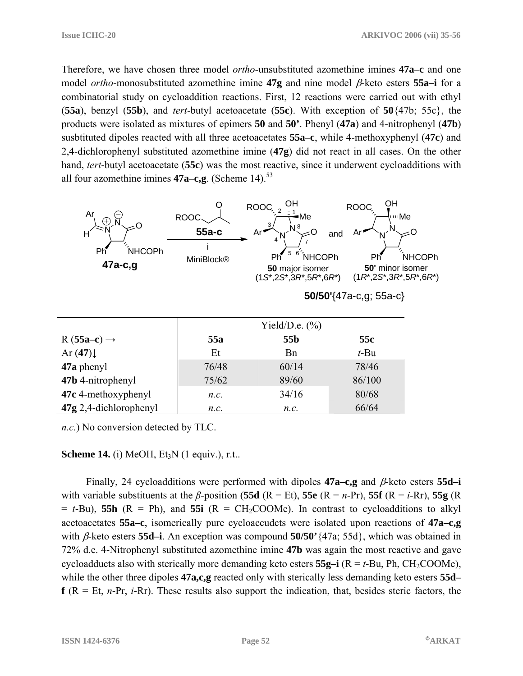Therefore, we have chosen three model *ortho*-unsubstituted azomethine imines **47a–c** and one model *ortho*-monosubstituted azomethine imine **47g** and nine model β-keto esters **55a–i** for a combinatorial study on cycloaddition reactions. First, 12 reactions were carried out with ethyl (**55a**), benzyl (**55b**), and *tert*-butyl acetoacetate (**55c**). With exception of **50**{47b; 55c}, the products were isolated as mixtures of epimers **50** and **50'**. Phenyl (**47a**) and 4-nitrophenyl (**47b**) susbtituted dipoles reacted with all three acetoacetates **55a–c**, while 4-methoxyphenyl (**47c**) and 2,4-dichlorophenyl substituted azomethine imine (**47g**) did not react in all cases. On the other hand, *tert*-butyl acetoacetate (**55c**) was the most reactive, since it underwent cycloadditions with all four azomethine imines  $47a - c$ ,  $g$ . (Scheme 14).<sup>53</sup>



**50/50'**{47a-c,g; 55a-c}

|                          | Yield/D.e. $(\%$ ) |            |                |  |  |
|--------------------------|--------------------|------------|----------------|--|--|
| $R(55a-c) \rightarrow$   | 55a                | 55b        | 55c<br>$t$ -Bu |  |  |
| Ar $(47)$                | Et                 | <b>B</b> n |                |  |  |
| 47a phenyl               | 76/48              | 60/14      | 78/46          |  |  |
| 47b 4-nitrophenyl        | 75/62              | 89/60      | 86/100         |  |  |
| 47c 4-methoxyphenyl      | n.c.               | 34/16      | 80/68          |  |  |
| $47g$ 2,4-dichlorophenyl | n.c.               | n.c.       | 66/64          |  |  |

*n.c.*) No conversion detected by TLC.

#### **Scheme 14.** (i) MeOH, Et<sub>3</sub>N (1 equiv.), r.t..

 Finally, 24 cycloadditions were performed with dipoles **47a–c,g** and β-keto esters **55d–i** with variable substituents at the *β*-position (**55d** (R = Et), **55e** (R = *n*-Pr), **55f** (R = *i*-Rr), **55g** (R  $= t$ -Bu), **55h** ( $R = Ph$ ), and **55i** ( $R = CH_2COOMe$ ). In contrast to eveloadditions to alkyl acetoacetates **55a–c**, isomerically pure cycloaccudcts were isolated upon reactions of **47a–c,g** with β-keto esters **55d–i**. An exception was compound **50/50'**{47a; 55d}, which was obtained in 72% d.e. 4-Nitrophenyl substituted azomethine imine **47b** was again the most reactive and gave cycloadducts also with sterically more demanding keto esters  $55g-i$  ( $R = t$ -Bu, Ph, CH<sub>2</sub>COOMe), while the other three dipoles **47a,c,g** reacted only with sterically less demanding keto esters **55d–**  $f(R = Et, n-Pr, i-Pr)$ . These results also support the indication, that, besides steric factors, the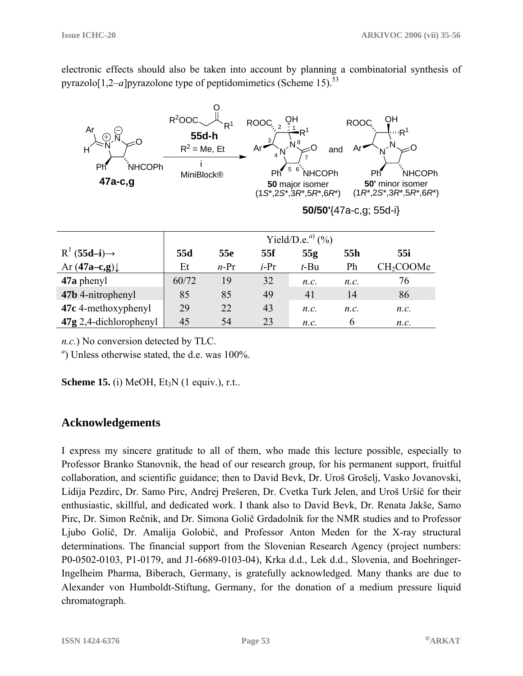electronic effects should also be taken into account by planning a combinatorial synthesis of pyrazolo $[1,2-a]$ pyrazolone type of peptidomimetics (Scheme 15).<sup>53</sup>



*n.c.*) No conversion detected by TLC.

<sup>a</sup>) Unless otherwise stated, the d.e. was 100%.

**Scheme 15.** (i) MeOH, Et<sub>3</sub>N (1 equiv.), r.t..

# **Acknowledgements**

I express my sincere gratitude to all of them, who made this lecture possible, especially to Professor Branko Stanovnik, the head of our research group, for his permanent support, fruitful collaboration, and scientific guidance; then to David Bevk, Dr. Uroš Grošelj, Vasko Jovanovski, Lidija Pezdirc, Dr. Samo Pirc, Andrej Prešeren, Dr. Cvetka Turk Jelen, and Uroš Uršič for their enthusiastic, skillful, and dedicated work. I thank also to David Bevk, Dr. Renata Jakše, Samo Pirc, Dr. Simon Rečnik, and Dr. Simona Golič Grdadolnik for the NMR studies and to Professor Ljubo Golič, Dr. Amalija Golobič, and Professor Anton Meden for the X-ray structural determinations. The financial support from the Slovenian Research Agency (project numbers: P0-0502-0103, P1-0179, and J1-6689-0103-04), Krka d.d., Lek d.d., Slovenia, and Boehringer-Ingelheim Pharma, Biberach, Germany, is gratefully acknowledged. Many thanks are due to Alexander von Humboldt-Stiftung, Germany, for the donation of a medium pressure liquid chromatograph.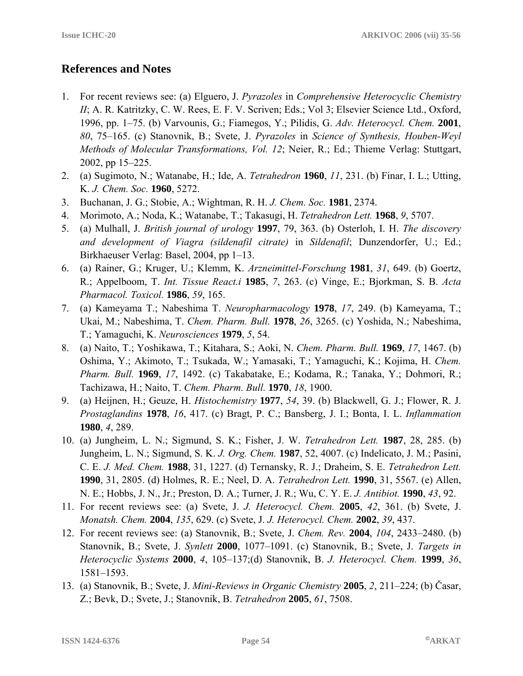# **References and Notes**

- 1. For recent reviews see: (a) Elguero, J. *Pyrazoles* in *Comprehensive Heterocyclic Chemistry II*; A. R. Katritzky, C. W. Rees, E. F. V. Scriven; Eds.; Vol 3; Elsevier Science Ltd., Oxford, 1996, pp. 1–75. (b) Varvounis, G.; Fiamegos, Y.; Pilidis, G. *Adv. Heterocycl. Chem.* **2001**, *80*, 75–165. (c) Stanovnik, B.; Svete, J. *Pyrazoles* in *Science of Synthesis, Houben-Weyl Methods of Molecular Transformations, Vol. 12*; Neier, R.; Ed.; Thieme Verlag: Stuttgart, 2002, pp 15–225.
- 2. (a) Sugimoto, N.; Watanabe, H.; Ide, A. *Tetrahedron* **1960**, *11*, 231. (b) Finar, I. L.; Utting, K. *J. Chem. Soc.* **1960**, 5272.
- 3. Buchanan, J. G.; Stobie, A.; Wightman, R. H. *J. Chem. Soc.* **1981**, 2374.
- 4. Morimoto, A.; Noda, K.; Watanabe, T.; Takasugi, H. *Tetrahedron Lett.* **1968**, *9*, 5707.
- 5. (a) Mulhall, J. *British journal of urology* **1997**, 79, 363. (b) Osterloh, I. H. *The discovery and development of Viagra (sildenafil citrate)* in *Sildenafil*; Dunzendorfer, U.; Ed.; Birkhaeuser Verlag: Basel, 2004, pp 1–13.
- 6. (a) Rainer, G.; Kruger, U.; Klemm, K. *Arzneimittel-Forschung* **1981**, *31*, 649. (b) Goertz, R.; Appelboom, T. *Int. Tissue React.i* **1985**, *7*, 263. (c) Vinge, E.; Bjorkman, S. B. *Acta Pharmacol. Toxicol.* **1986**, *59*, 165.
- 7. (a) Kameyama T.; Nabeshima T. *Neuropharmacology* **1978**, *17*, 249. (b) Kameyama, T.; Ukai, M.; Nabeshima, T. *Chem. Pharm. Bull.* **1978**, *26*, 3265. (c) Yoshida, N.; Nabeshima, T.; Yamaguchi, K. *Neurosciences* **1979**, *5*, 54.
- 8. (a) Naito, T.; Yoshikawa, T.; Kitahara, S.; Aoki, N. *Chem. Pharm. Bull.* **1969**, *17*, 1467. (b) Oshima, Y.; Akimoto, T.; Tsukada, W.; Yamasaki, T.; Yamaguchi, K.; Kojima, H. *Chem. Pharm. Bull.* **1969**, *17*, 1492. (c) Takabatake, E.; Kodama, R.; Tanaka, Y.; Dohmori, R.; Tachizawa, H.; Naito, T. *Chem. Pharm. Bull.* **1970**, *18*, 1900.
- 9. (a) Heijnen, H.; Geuze, H. *Histochemistry* **1977**, *54*, 39. (b) Blackwell, G. J.; Flower, R. J. *Prostaglandins* **1978**, *16*, 417. (c) Bragt, P. C.; Bansberg, J. I.; Bonta, I. L. *Inflammation* **1980**, *4*, 289.
- 10. (a) Jungheim, L. N.; Sigmund, S. K.; Fisher, J. W. *Tetrahedron Lett.* **1987**, 28, 285. (b) Jungheim, L. N.; Sigmund, S. K. *J. Org. Chem.* **1987**, 52, 4007. (c) Indelicato, J. M.; Pasini, C. E. *J. Med. Chem.* **1988**, 31, 1227. (d) Ternansky, R. J.; Draheim, S. E. *Tetrahedron Lett.* **1990**, 31, 2805. (d) Holmes, R. E.; Neel, D. A. *Tetrahedron Lett.* **1990**, 31, 5567. (e) Allen, N. E.; Hobbs, J. N., Jr.; Preston, D. A.; Turner, J. R.; Wu, C. Y. E. *J. Antibiot.* **1990**, *43*, 92.
- 11. For recent reviews see: (a) Svete, J. *J. Heterocycl. Chem.* **2005**, *42*, 361. (b) Svete, J. *Monatsh. Chem.* **2004**, *135*, 629. (c) Svete, J. *J. Heterocycl. Chem.* **2002**, *39*, 437.
- 12. For recent reviews see: (a) Stanovnik, B.; Svete, J. *Chem. Rev.* **2004**, *104*, 2433–2480. (b) Stanovnik, B.; Svete, J. *Synlett* **2000**, 1077–1091. (c) Stanovnik, B.; Svete, J. *Targets in Heterocyclic Systems* **2000**, *4*, 105–137;(d) Stanovnik, B. *J. Heterocycl. Chem.* **1999**, *36*, 1581–1593.
- 13. (a) Stanovnik, B.; Svete, J. *Mini-Reviews in Organic Chemistry* **2005**, *2*, 211–224; (b) Časar, Z.; Bevk, D.; Svete, J.; Stanovnik, B. *Tetrahedron* **2005**, *61*, 7508.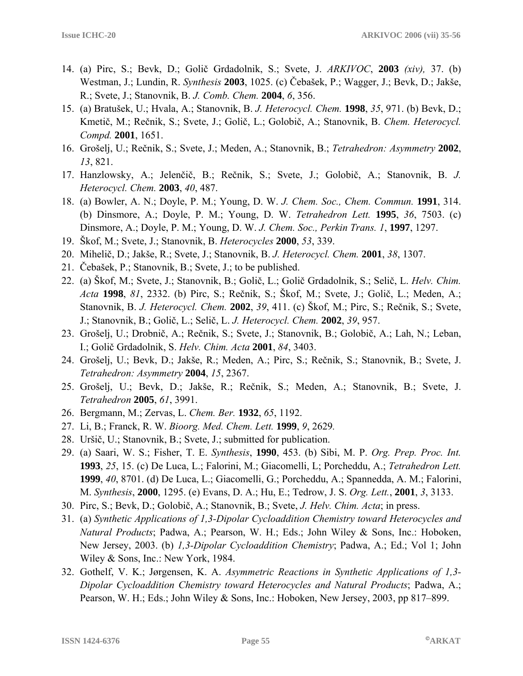- 14. (a) Pirc, S.; Bevk, D.; Golič Grdadolnik, S.; Svete, J. *ARKIVOC*, **2003** *(xiv),* 37. (b) Westman, J.; Lundin, R. *Synthesis* **2003**, 1025. (c) Čebašek, P.; Wagger, J.; Bevk, D.; Jakše, R.; Svete, J.; Stanovnik, B. *J. Comb. Chem.* **2004**, *6*, 356.
- 15. (a) Bratušek, U.; Hvala, A.; Stanovnik, B. *J. Heterocycl. Chem.* **1998**, *35*, 971. (b) Bevk, D.; Kmetič, M.; Rečnik, S.; Svete, J.; Golič, L.; Golobič, A.; Stanovnik, B. *Chem. Heterocycl. Compd.* **2001**, 1651.
- 16. Grošelj, U.; Rečnik, S.; Svete, J.; Meden, A.; Stanovnik, B.; *Tetrahedron: Asymmetry* **2002**, *13*, 821.
- 17. Hanzlowsky, A.; Jelenčič, B.; Rečnik, S.; Svete, J.; Golobič, A.; Stanovnik, B. *J. Heterocycl. Chem.* **2003**, *40*, 487.
- 18. (a) Bowler, A. N.; Doyle, P. M.; Young, D. W. *J. Chem. Soc., Chem. Commun.* **1991**, 314. (b) Dinsmore, A.; Doyle, P. M.; Young, D. W. *Tetrahedron Lett.* **1995**, *36*, 7503. (c) Dinsmore, A.; Doyle, P. M.; Young, D. W. *J. Chem. Soc., Perkin Trans. 1*, **1997**, 1297.
- 19. Škof, M.; Svete, J.; Stanovnik, B. *Heterocycles* **2000**, *53*, 339.
- 20. Mihelič, D.; Jakše, R.; Svete, J.; Stanovnik, B. *J. Heterocycl. Chem.* **2001**, *38*, 1307.
- 21. Čebašek, P.; Stanovnik, B.; Svete, J.; to be published.
- 22. (a) Škof, M.; Svete, J.; Stanovnik, B.; Golič, L.; Golič Grdadolnik, S.; Selič, L. *Helv. Chim. Acta* **1998**, *81*, 2332. (b) Pirc, S.; Rečnik, S.; Škof, M.; Svete, J.; Golič, L.; Meden, A.; Stanovnik, B. *J. Heterocycl. Chem.* **2002**, *39*, 411. (c) Škof, M.; Pirc, S.; Rečnik, S.; Svete, J.; Stanovnik, B.; Golič, L.; Selič, L. *J. Heterocycl. Chem.* **2002**, *39*, 957.
- 23. Grošelj, U.; Drobnič, A.; Rečnik, S.; Svete, J.; Stanovnik, B.; Golobič, A.; Lah, N.; Leban, I.; Golič Grdadolnik, S. *Helv. Chim. Acta* **2001**, *84*, 3403.
- 24. Grošelj, U.; Bevk, D.; Jakše, R.; Meden, A.; Pirc, S.; Rečnik, S.; Stanovnik, B.; Svete, J. *Tetrahedron: Asymmetry* **2004**, *15*, 2367.
- 25. Grošelj, U.; Bevk, D.; Jakše, R.; Rečnik, S.; Meden, A.; Stanovnik, B.; Svete, J. *Tetrahedron* **2005**, *61*, 3991.
- 26. Bergmann, M.; Zervas, L. *Chem. Ber.* **1932**, *65*, 1192.
- 27. Li, B.; Franck, R. W. *Bioorg. Med. Chem. Lett.* **1999**, *9*, 2629*.*
- 28. Uršič, U.; Stanovnik, B.; Svete, J.; submitted for publication.
- 29. (a) Saari, W. S.; Fisher, T. E. *Synthesis*, **1990**, 453. (b) Sibi, M. P. *Org. Prep. Proc. Int.* **1993**, *25*, 15. (c) De Luca, L.; Falorini, M.; Giacomelli, L; Porcheddu, A.; *Tetrahedron Lett.* **1999**, *40*, 8701. (d) De Luca, L.; Giacomelli, G.; Porcheddu, A.; Spannedda, A. M.; Falorini, M. *Synthesis*, **2000**, 1295. (e) Evans, D. A.; Hu, E.; Tedrow, J. S. *Org. Lett.*, **2001**, *3*, 3133.
- 30. Pirc, S.; Bevk, D.; Golobič, A.; Stanovnik, B.; Svete, *J. Helv. Chim. Acta*; in press.
- 31. (a) *Synthetic Applications of 1,3-Dipolar Cycloaddition Chemistry toward Heterocycles and Natural Products*; Padwa, A.; Pearson, W. H.; Eds.; John Wiley & Sons, Inc.: Hoboken, New Jersey, 2003. (b) *1,3-Dipolar Cycloaddition Chemistry*; Padwa, A.; Ed.; Vol 1; John Wiley & Sons, Inc.: New York, 1984.
- 32. Gothelf, V. K.; Jørgensen, K. A. *Asymmetric Reactions in Synthetic Applications of 1,3- Dipolar Cycloaddition Chemistry toward Heterocycles and Natural Products*; Padwa, A.; Pearson, W. H.; Eds.; John Wiley & Sons, Inc.: Hoboken, New Jersey, 2003, pp 817–899.